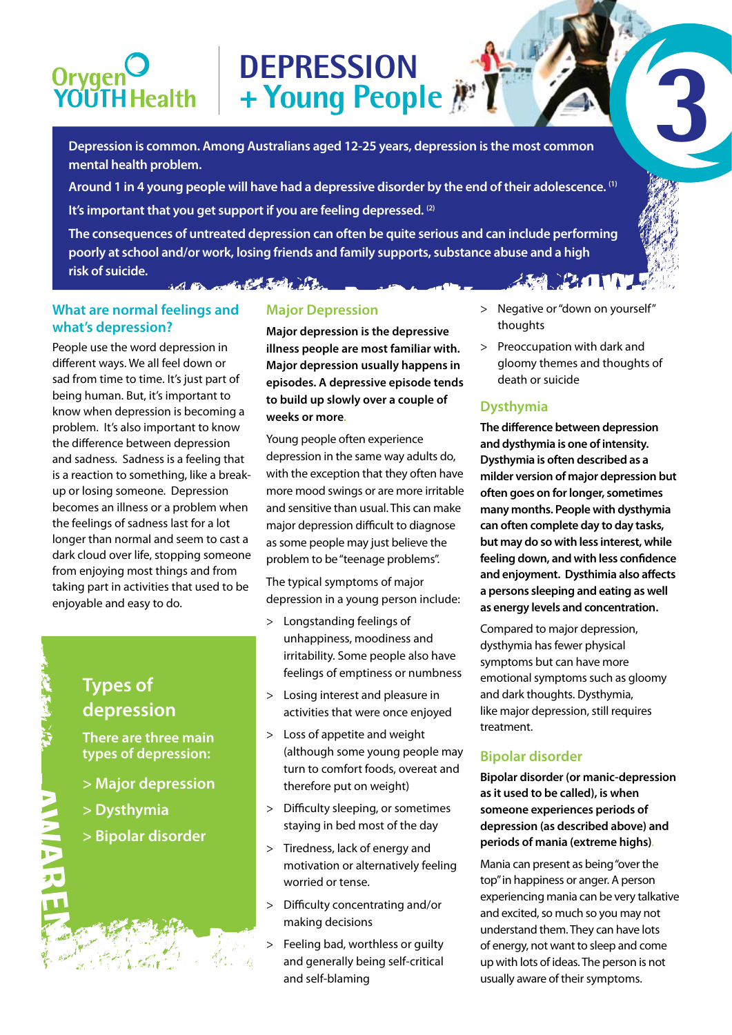# Orygen<br>YOUTH Health

**Depression is common. Among Australians aged 12-25 years, depression is the most common mental health problem.** 

**DEPRESSION**

**Around 1 in 4 young people will have had a depressive disorder by the end of their adolescence. (1)**

**+ Young People 3**

**It's important that you get support if you are feeling depressed. (2)** 

**The consequences of untreated depression can often be quite serious and can include performing poorly at school and/or work, losing friends and family supports, substance abuse and a high risk of suicide. A PAIN** in a martin the facts of the

#### **What are normal feelings and what's depression?**

People use the word depression in different ways. We all feel down or sad from time to time. It's just part of being human. But, it's important to know when depression is becoming a problem. It's also important to know the difference between depression and sadness. Sadness is a feeling that is a reaction to something, like a breakup or losing someone. Depression becomes an illness or a problem when the feelings of sadness last for a lot longer than normal and seem to cast a dark cloud over life, stopping someone from enjoying most things and from taking part in activities that used to be enjoyable and easy to do.

## **Major Depression**

**Major depression is the depressive illness people are most familiar with. Major depression usually happens in episodes. A depressive episode tends to build up slowly over a couple of weeks or more.**

Young people often experience depression in the same way adults do, with the exception that they often have more mood swings or are more irritable and sensitive than usual. This can make major depression difficult to diagnose as some people may just believe the problem to be "teenage problems".

The typical symptoms of major depression in a young person include:

- > Longstanding feelings of unhappiness, moodiness and irritability. Some people also have feelings of emptiness or numbness
- > Losing interest and pleasure in activities that were once enjoyed
- > Loss of appetite and weight (although some young people may turn to comfort foods, overeat and therefore put on weight)
- > Difficulty sleeping, or sometimes staying in bed most of the day
- > Tiredness, lack of energy and motivation or alternatively feeling worried or tense.
- > Difficulty concentrating and/or making decisions
- > Feeling bad, worthless or guilty and generally being self-critical and self-blaming
- > Negative or "down on yourself" thoughts
- > Preoccupation with dark and gloomy themes and thoughts of death or suicide

### **Dysthymia**

**The difference between depression and dysthymia is one of intensity. Dysthymia is often described as a milder version of major depression but often goes on for longer, sometimes many months. People with dysthymia can often complete day to day tasks, but may do so with less interest, while feeling down, and with less confidence and enjoyment. Dysthimia also affects a persons sleeping and eating as well as energy levels and concentration.** 

Compared to major depression, dysthymia has fewer physical symptoms but can have more emotional symptoms such as gloomy and dark thoughts. Dysthymia, like major depression, still requires treatment.

### **Bipolar disorder**

**Bipolar disorder (or manic-depression as it used to be called), is when someone experiences periods of depression (as described above) and periods of mania (extreme highs)**.

Mania can present as being "over the top" in happiness or anger. A person experiencing mania can be very talkative and excited, so much so you may not understand them. They can have lots of energy, not want to sleep and come up with lots of ideas. The person is not usually aware of their symptoms.

# **Types of depression**

**There are three main types of depression:**

- **> Major depression**
- **> Dysthymia**
- **> Bipolar disorder**